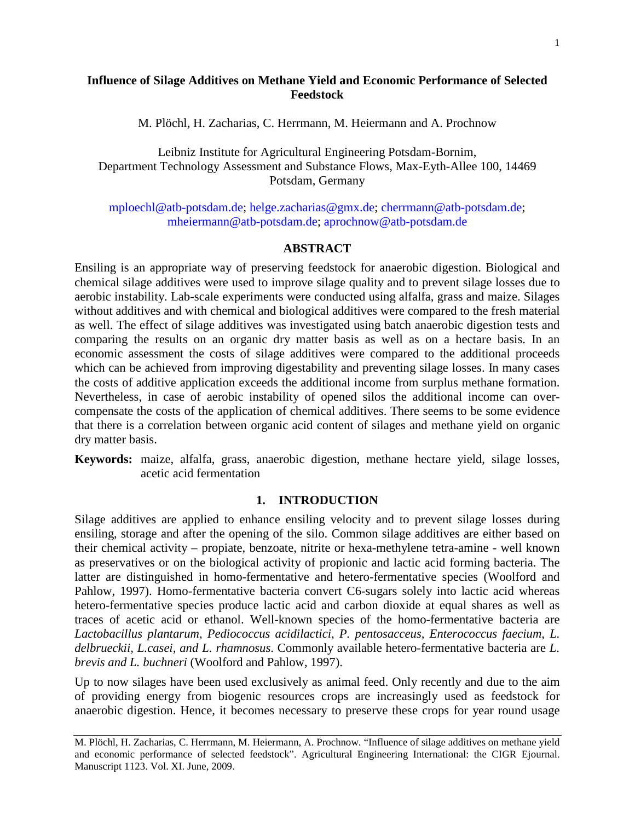# **Influence of Silage Additives on Methane Yield and Economic Performance of Selected Feedstock**

M. Plöchl, H. Zacharias, C. Herrmann, M. Heiermann and A. Prochnow

Leibniz Institute for Agricultural Engineering Potsdam-Bornim, Department Technology Assessment and Substance Flows, Max-Eyth-Allee 100, 14469 Potsdam, Germany

[mploechl@atb-potsdam.de;](mailto:mploechl@atb-potsdam.de) [helge.zacharias@gmx.de;](mailto:helge.zacharias@gmx.de) [cherrmann@atb-potsdam.de;](mailto:cherrmann@atb-potsdam.de) [mheiermann@atb-potsdam.de;](mailto:mheiermann@atb-potsdam.de) [aprochnow@atb-potsdam.de](mailto:aprochnow@atb-potsdam.de)

### **ABSTRACT**

Ensiling is an appropriate way of preserving feedstock for anaerobic digestion. Biological and chemical silage additives were used to improve silage quality and to prevent silage losses due to aerobic instability. Lab-scale experiments were conducted using alfalfa, grass and maize. Silages without additives and with chemical and biological additives were compared to the fresh material as well. The effect of silage additives was investigated using batch anaerobic digestion tests and comparing the results on an organic dry matter basis as well as on a hectare basis. In an economic assessment the costs of silage additives were compared to the additional proceeds which can be achieved from improving digestability and preventing silage losses. In many cases the costs of additive application exceeds the additional income from surplus methane formation. Nevertheless, in case of aerobic instability of opened silos the additional income can overcompensate the costs of the application of chemical additives. There seems to be some evidence that there is a correlation between organic acid content of silages and methane yield on organic dry matter basis.

**Keywords:** maize, alfalfa, grass, anaerobic digestion, methane hectare yield, silage losses, acetic acid fermentation

## **1. INTRODUCTION**

Silage additives are applied to enhance ensiling velocity and to prevent silage losses during ensiling, storage and after the opening of the silo. Common silage additives are either based on their chemical activity – propiate, benzoate, nitrite or hexa-methylene tetra-amine - well known as preservatives or on the biological activity of propionic and lactic acid forming bacteria. The latter are distinguished in homo-fermentative and hetero-fermentative species (Woolford and Pahlow, 1997). Homo-fermentative bacteria convert C6-sugars solely into lactic acid whereas hetero-fermentative species produce lactic acid and carbon dioxide at equal shares as well as traces of acetic acid or ethanol. Well-known species of the homo-fermentative bacteria are *Lactobacillus plantarum*, *Pediococcus acidilactici*, *P. pentosacceus, Enterococcus faecium, L. delbrueckii, L.casei, and L. rhamnosus*. Commonly available hetero-fermentative bacteria are *L. brevis and L. buchneri* (Woolford and Pahlow, 1997).

Up to now silages have been used exclusively as animal feed. Only recently and due to the aim of providing energy from biogenic resources crops are increasingly used as feedstock for anaerobic digestion. Hence, it becomes necessary to preserve these crops for year round usage

M. Plöchl, H. Zacharias, C. Herrmann, M. Heiermann, A. Prochnow. "Influence of silage additives on methane yield and economic performance of selected feedstock". Agricultural Engineering International: the CIGR Ejournal. Manuscript 1123. Vol. XI. June, 2009.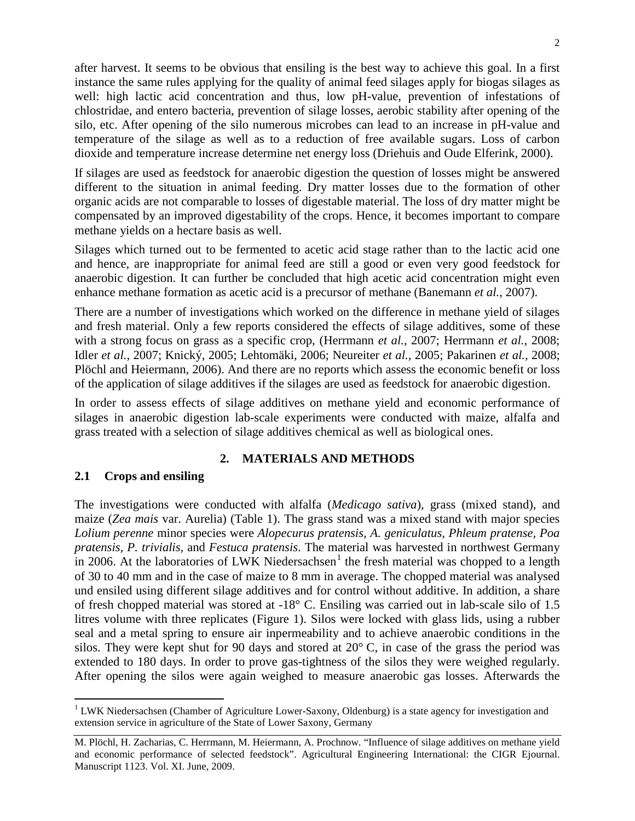after harvest. It seems to be obvious that ensiling is the best way to achieve this goal. In a first instance the same rules applying for the quality of animal feed silages apply for biogas silages as well: high lactic acid concentration and thus, low pH-value, prevention of infestations of chlostridae, and entero bacteria, prevention of silage losses, aerobic stability after opening of the silo, etc. After opening of the silo numerous microbes can lead to an increase in pH-value and temperature of the silage as well as to a reduction of free available sugars. Loss of carbon dioxide and temperature increase determine net energy loss (Driehuis and Oude Elferink, 2000).

If silages are used as feedstock for anaerobic digestion the question of losses might be answered different to the situation in animal feeding. Dry matter losses due to the formation of other organic acids are not comparable to losses of digestable material. The loss of dry matter might be compensated by an improved digestability of the crops. Hence, it becomes important to compare methane yields on a hectare basis as well.

Silages which turned out to be fermented to acetic acid stage rather than to the lactic acid one and hence, are inappropriate for animal feed are still a good or even very good feedstock for anaerobic digestion. It can further be concluded that high acetic acid concentration might even enhance methane formation as acetic acid is a precursor of methane (Banemann *et al.*, 2007).

There are a number of investigations which worked on the difference in methane yield of silages and fresh material. Only a few reports considered the effects of silage additives, some of these with a strong focus on grass as a specific crop, (Herrmann *et al.*, 2007; Herrmann *et al.*, 2008; Idler *et al.*, 2007; Knický, 2005; Lehtomäki, 2006; Neureiter *et al.*, 2005; Pakarinen *et al.*, 2008; Plöchl and Heiermann, 2006). And there are no reports which assess the economic benefit or loss of the application of silage additives if the silages are used as feedstock for anaerobic digestion.

In order to assess effects of silage additives on methane yield and economic performance of silages in anaerobic digestion lab-scale experiments were conducted with maize, alfalfa and grass treated with a selection of silage additives chemical as well as biological ones.

## **2. MATERIALS AND METHODS**

### **2.1 Crops and ensiling**

The investigations were conducted with alfalfa (*Medicago sativa*), grass (mixed stand), and maize (*Zea mais* var. Aurelia) (Table 1). The grass stand was a mixed stand with major species *Lolium perenne* minor species were *Alopecurus pratensis, A. geniculatus, Phleum pratense, Poa pratensis, P. trivialis,* and *Festuca pratensis*. The material was harvested in northwest Germany in 2006. At the laboratories of LWK Niedersachsen<sup>[1](#page-1-0)</sup> the fresh material was chopped to a length of 30 to 40 mm and in the case of maize to 8 mm in average. The chopped material was analysed und ensiled using different silage additives and for control without additive. In addition, a share of fresh chopped material was stored at -18° C. Ensiling was carried out in lab-scale silo of 1.5 litres volume with three replicates (Figure 1). Silos were locked with glass lids, using a rubber seal and a metal spring to ensure air inpermeability and to achieve anaerobic conditions in the silos. They were kept shut for 90 days and stored at 20° C, in case of the grass the period was extended to 180 days. In order to prove gas-tightness of the silos they were weighed regularly. After opening the silos were again weighed to measure anaerobic gas losses. Afterwards the

<span id="page-1-0"></span><sup>&</sup>lt;sup>1</sup> LWK Niedersachsen (Chamber of Agriculture Lower-Saxony, Oldenburg) is a state agency for investigation and extension service in agriculture of the State of Lower Saxony, Germany

M. Plöchl, H. Zacharias, C. Herrmann, M. Heiermann, A. Prochnow. "Influence of silage additives on methane yield and economic performance of selected feedstock". Agricultural Engineering International: the CIGR Ejournal. Manuscript 1123. Vol. XI. June, 2009.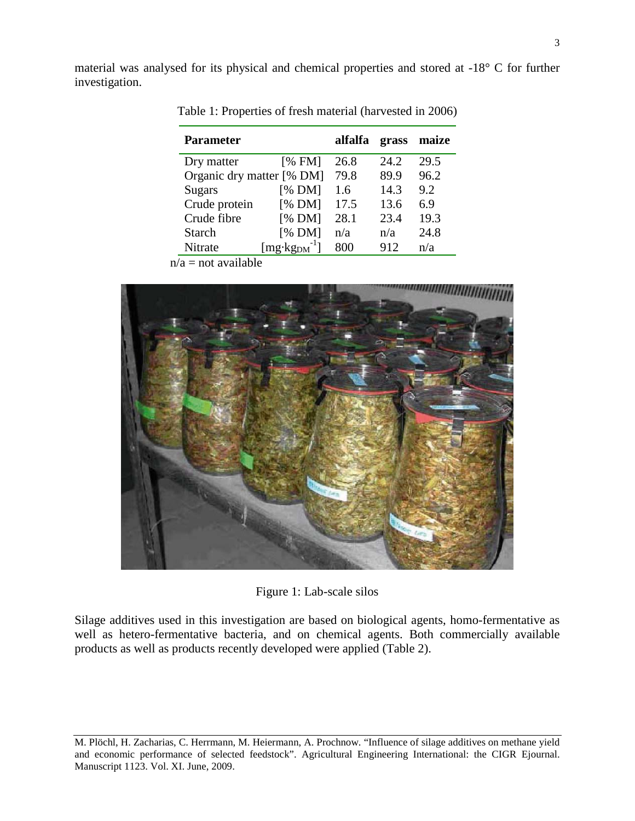material was analysed for its physical and chemical properties and stored at -18° C for further investigation.

| <b>Parameter</b>          |                   | alfalfa | grass | maize |
|---------------------------|-------------------|---------|-------|-------|
| Dry matter                | [% FM]            | 26.8    | 24.2  | 29.5  |
| Organic dry matter [% DM] |                   | 79.8    | 89.9  | 96.2  |
| Sugars                    | [% DM]            | 1.6     | 14.3  | 9.2   |
| Crude protein             | [% DM]            | 17.5    | 13.6  | 6.9   |
| Crude fibre               | [% DM]            | 28.1    | 23.4  | 19.3  |
| Starch                    | [% DM]            | n/a     | n/a   | 24.8  |
| Nitrate                   | $[mg \cdot kgDM]$ | 800     | 912   | n/a   |

Table 1: Properties of fresh material (harvested in 2006)

 $n/a$  = not available



Figure 1: Lab-scale silos

Silage additives used in this investigation are based on biological agents, homo-fermentative as well as hetero-fermentative bacteria, and on chemical agents. Both commercially available products as well as products recently developed were applied (Table 2).

M. Plöchl, H. Zacharias, C. Herrmann, M. Heiermann, A. Prochnow. "Influence of silage additives on methane yield and economic performance of selected feedstock". Agricultural Engineering International: the CIGR Ejournal. Manuscript 1123. Vol. XI. June, 2009.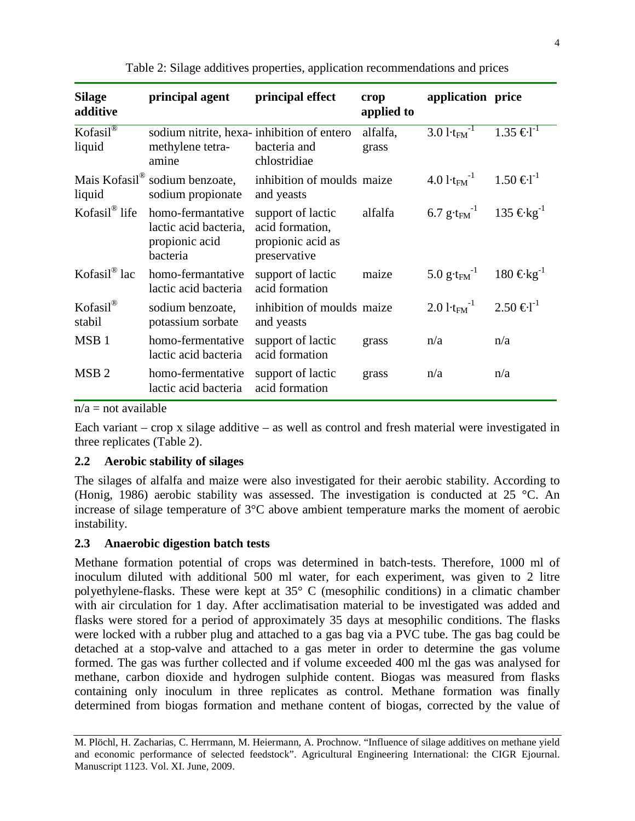| <b>Silage</b><br>additive       | principal agent                                                          | principal effect                                                          | crop<br>applied to | application price                                            |                   |
|---------------------------------|--------------------------------------------------------------------------|---------------------------------------------------------------------------|--------------------|--------------------------------------------------------------|-------------------|
| $Kofasil^{\circledR}$<br>liquid | sodium nitrite, hexa-inhibition of entero<br>methylene tetra-<br>amine   | bacteria and<br>chlostridiae                                              | alfalfa,<br>grass  | $3.01 \overline{\text{t}_{\text{FM}}^{-1}}$                  | $1.35 \in I^{-1}$ |
| liquid                          | Mais Kofasil <sup>®</sup> sodium benzoate,<br>sodium propionate          | inhibition of moulds maize<br>and yeasts                                  |                    | $4.01 \text{·t}_{\text{FM}}^{-1}$ $1.50 \text{ } \in I^{-1}$ |                   |
| Kofasil <sup>®</sup> life       | homo-fermantative<br>lactic acid bacteria,<br>propionic acid<br>bacteria | support of lactic<br>acid formation,<br>propionic acid as<br>preservative | alfalfa            | 6.7 g⋅t <sub>FM</sub> <sup>-1</sup> 135 €kg <sup>-1</sup>    |                   |
| Kofasil <sup>®</sup> lac        | homo-fermantative<br>lactic acid bacteria                                | support of lactic<br>acid formation                                       | maize              | 5.0 g⋅t <sub>FM</sub> <sup>-1</sup> 180 €kg <sup>-1</sup>    |                   |
| Kofasil®<br>stabil              | sodium benzoate,<br>potassium sorbate                                    | inhibition of moulds maize<br>and yeasts                                  |                    | $2.01 \text{·} \text{km}^{-1}$                               | $2.50 \in I^1$    |
| MSB <sub>1</sub>                | homo-fermentative<br>lactic acid bacteria                                | support of lactic<br>acid formation                                       | grass              | n/a                                                          | n/a               |
| MSB <sub>2</sub>                | homo-fermentative<br>lactic acid bacteria                                | support of lactic<br>acid formation                                       | grass              | n/a                                                          | n/a               |

Table 2: Silage additives properties, application recommendations and prices

 $n/a$  = not available

Each variant – crop x silage additive – as well as control and fresh material were investigated in three replicates (Table 2).

## **2.2 Aerobic stability of silages**

The silages of alfalfa and maize were also investigated for their aerobic stability. According to (Honig, 1986) aerobic stability was assessed. The investigation is conducted at 25 °C. An increase of silage temperature of 3°C above ambient temperature marks the moment of aerobic instability.

## **2.3 Anaerobic digestion batch tests**

Methane formation potential of crops was determined in batch-tests. Therefore, 1000 ml of inoculum diluted with additional 500 ml water, for each experiment, was given to 2 litre polyethylene-flasks. These were kept at 35° C (mesophilic conditions) in a climatic chamber with air circulation for 1 day. After acclimatisation material to be investigated was added and flasks were stored for a period of approximately 35 days at mesophilic conditions. The flasks were locked with a rubber plug and attached to a gas bag via a PVC tube. The gas bag could be detached at a stop-valve and attached to a gas meter in order to determine the gas volume formed. The gas was further collected and if volume exceeded 400 ml the gas was analysed for methane, carbon dioxide and hydrogen sulphide content. Biogas was measured from flasks containing only inoculum in three replicates as control. Methane formation was finally determined from biogas formation and methane content of biogas, corrected by the value of

M. Plöchl, H. Zacharias, C. Herrmann, M. Heiermann, A. Prochnow. "Influence of silage additives on methane yield and economic performance of selected feedstock". Agricultural Engineering International: the CIGR Ejournal. Manuscript 1123. Vol. XI. June, 2009.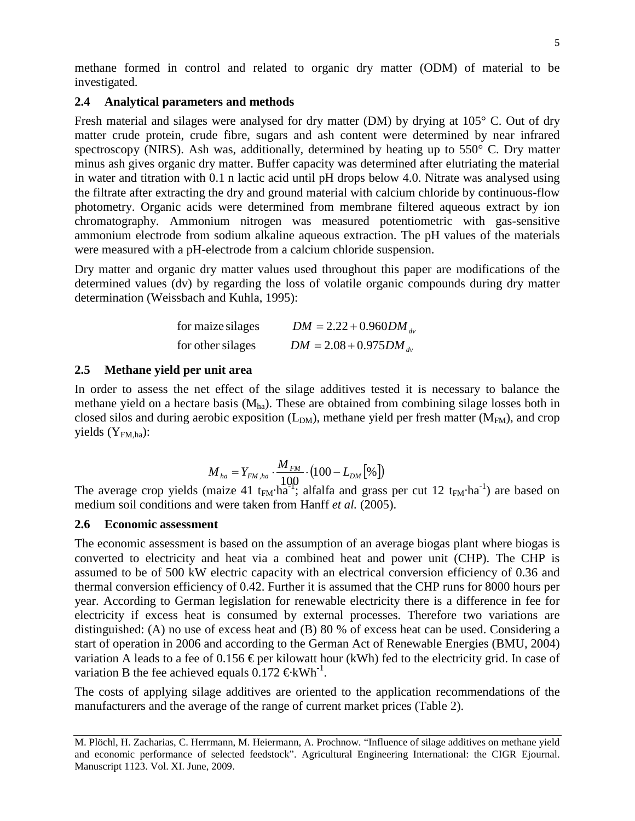methane formed in control and related to organic dry matter (ODM) of material to be investigated.

### **2.4 Analytical parameters and methods**

Fresh material and silages were analysed for dry matter (DM) by drying at 105° C. Out of dry matter crude protein, crude fibre, sugars and ash content were determined by near infrared spectroscopy (NIRS). Ash was, additionally, determined by heating up to 550° C. Dry matter minus ash gives organic dry matter. Buffer capacity was determined after elutriating the material in water and titration with 0.1 n lactic acid until pH drops below 4.0. Nitrate was analysed using the filtrate after extracting the dry and ground material with calcium chloride by continuous-flow photometry. Organic acids were determined from membrane filtered aqueous extract by ion chromatography. Ammonium nitrogen was measured potentiometric with gas-sensitive ammonium electrode from sodium alkaline aqueous extraction. The pH values of the materials were measured with a pH-electrode from a calcium chloride suspension.

Dry matter and organic dry matter values used throughout this paper are modifications of the determined values (dv) by regarding the loss of volatile organic compounds during dry matter determination (Weissbach and Kuhla, 1995):

| for maize silages | $DM = 2.22 + 0.960 DM_{av}$ |
|-------------------|-----------------------------|
| for other silages | $DM = 2.08 + 0.975 DM_{av}$ |

### **2.5 Methane yield per unit area**

In order to assess the net effect of the silage additives tested it is necessary to balance the methane yield on a hectare basis  $(M<sub>ha</sub>)$ . These are obtained from combining silage losses both in closed silos and during aerobic exposition  $(L_{DM})$ , methane yield per fresh matter  $(M_{FM})$ , and crop yields  $(Y_{FMLha})$ :

$$
M_{ha} = Y_{FM,ha} \cdot \frac{M_{FM}}{100} \cdot (100 - L_{DM} [%)
$$

The average crop yields (maize 41 t<sub>FM</sub>·ha<sup>-1</sup>); alfalfa and grass per cut 12 t<sub>FM</sub>·ha<sup>-1</sup>) are based on medium soil conditions and were taken from Hanff *et al.* (2005).

## **2.6 Economic assessment**

The economic assessment is based on the assumption of an average biogas plant where biogas is converted to electricity and heat via a combined heat and power unit (CHP). The CHP is assumed to be of 500 kW electric capacity with an electrical conversion efficiency of 0.36 and thermal conversion efficiency of 0.42. Further it is assumed that the CHP runs for 8000 hours per year. According to German legislation for renewable electricity there is a difference in fee for electricity if excess heat is consumed by external processes. Therefore two variations are distinguished: (A) no use of excess heat and (B) 80 % of excess heat can be used. Considering a start of operation in 2006 and according to the German Act of Renewable Energies (BMU, 2004) variation A leads to a fee of 0.156  $\epsilon$  per kilowatt hour (kWh) fed to the electricity grid. In case of variation B the fee achieved equals  $0.172 \text{ } \in \text{kWh}^{-1}$ .

The costs of applying silage additives are oriented to the application recommendations of the manufacturers and the average of the range of current market prices (Table 2).

M. Plöchl, H. Zacharias, C. Herrmann, M. Heiermann, A. Prochnow. "Influence of silage additives on methane yield and economic performance of selected feedstock". Agricultural Engineering International: the CIGR Ejournal. Manuscript 1123. Vol. XI. June, 2009.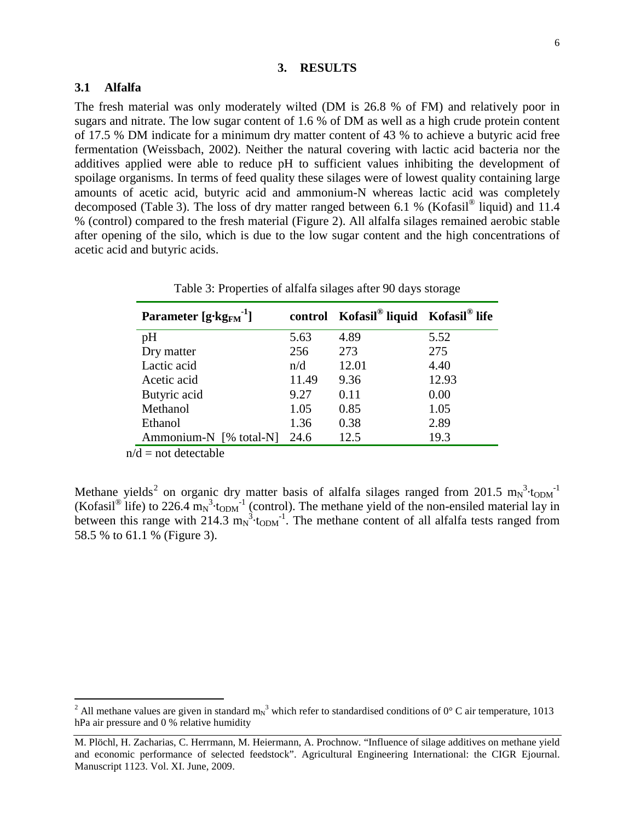#### **3. RESULTS**

### **3.1 Alfalfa**

The fresh material was only moderately wilted (DM is 26.8 % of FM) and relatively poor in sugars and nitrate. The low sugar content of 1.6 % of DM as well as a high crude protein content of 17.5 % DM indicate for a minimum dry matter content of 43 % to achieve a butyric acid free fermentation (Weissbach, 2002). Neither the natural covering with lactic acid bacteria nor the additives applied were able to reduce pH to sufficient values inhibiting the development of spoilage organisms. In terms of feed quality these silages were of lowest quality containing large amounts of acetic acid, butyric acid and ammonium-N whereas lactic acid was completely decomposed (Table 3). The loss of dry matter ranged between 6.1 % (Kofasil<sup>®</sup> liquid) and 11.4 % (control) compared to the fresh material (Figure 2). All alfalfa silages remained aerobic stable after opening of the silo, which is due to the low sugar content and the high concentrations of acetic acid and butyric acids.

| Parameter $[g \cdot kg_{FM}^{-1}]$ |       | control Kofasil <sup>®</sup> liquid Kofasil <sup>®</sup> life |       |  |
|------------------------------------|-------|---------------------------------------------------------------|-------|--|
| pH                                 | 5.63  | 4.89                                                          | 5.52  |  |
| Dry matter                         | 256   | 273                                                           | 275   |  |
| Lactic acid                        | n/d   | 12.01                                                         | 4.40  |  |
| Acetic acid                        | 11.49 | 9.36                                                          | 12.93 |  |
| Butyric acid                       | 9.27  | 0.11                                                          | 0.00  |  |
| Methanol                           | 1.05  | 0.85                                                          | 1.05  |  |
| Ethanol                            | 1.36  | 0.38                                                          | 2.89  |  |
| Ammonium-N [% total-N]             | 24.6  | 12.5                                                          | 19.3  |  |

Table 3: Properties of alfalfa silages after 90 days storage

 $n/d$  = not detectable

Methane yields<sup>[2](#page-5-0)</sup> on organic dry matter basis of alfalfa silages ranged from 201.5  $m_N^3$ ·t<sub>ODM</sub><sup>-1</sup> (Kofasil<sup>®</sup> life) to 226.4  $m_N^3$ ·t<sub>ODM</sub><sup>-1</sup> (control). The methane yield of the non-ensiled material lay in between this range with 214.3  $m_N^3$ ·t<sub>ODM</sub><sup>-1</sup>. The methane content of all alfalfa tests ranged from 58.5 % to 61.1 % (Figure 3).

<span id="page-5-0"></span><sup>&</sup>lt;sup>2</sup> All methane values are given in standard m<sub>N</sub><sup>3</sup> which refer to standardised conditions of 0° C air temperature, 1013 hPa air pressure and 0 % relative humidity

M. Plöchl, H. Zacharias, C. Herrmann, M. Heiermann, A. Prochnow. "Influence of silage additives on methane yield and economic performance of selected feedstock". Agricultural Engineering International: the CIGR Ejournal. Manuscript 1123. Vol. XI. June, 2009.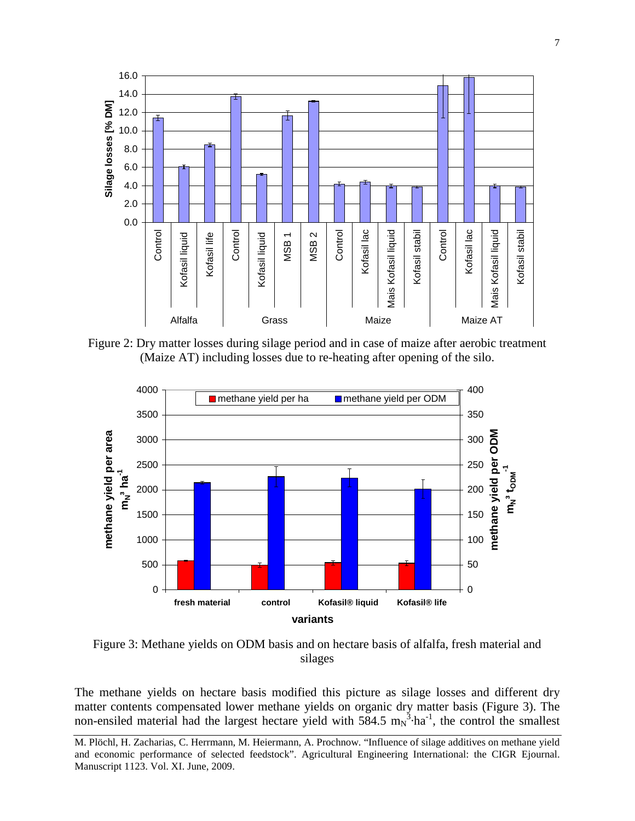

Figure 2: Dry matter losses during silage period and in case of maize after aerobic treatment (Maize AT) including losses due to re-heating after opening of the silo.



Figure 3: Methane yields on ODM basis and on hectare basis of alfalfa, fresh material and silages

The methane yields on hectare basis modified this picture as silage losses and different dry matter contents compensated lower methane yields on organic dry matter basis (Figure 3). The non-ensiled material had the largest hectare yield with  $584.5 \text{ m}_\text{N}^3 \cdot \text{ha}^{-1}$ , the control the smallest

M. Plöchl, H. Zacharias, C. Herrmann, M. Heiermann, A. Prochnow. "Influence of silage additives on methane yield and economic performance of selected feedstock". Agricultural Engineering International: the CIGR Ejournal. Manuscript 1123. Vol. XI. June, 2009.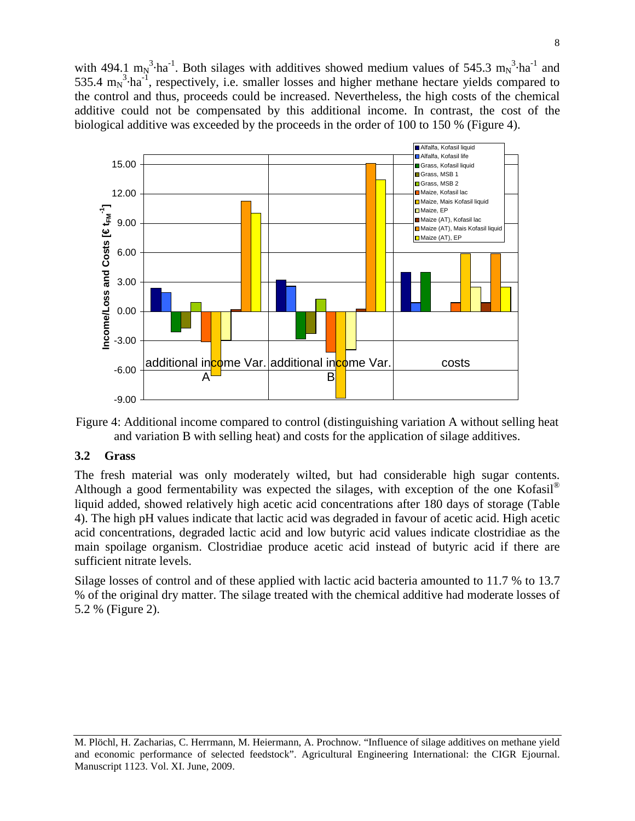with 494.1  $m_N^3$ ·ha<sup>-1</sup>. Both silages with additives showed medium values of 545.3  $m_N^3$ ·ha<sup>-1</sup> and 535.4  $m_N^3$ ·ha<sup>-1</sup>, respectively, i.e. smaller losses and higher methane hectare yields compared to the control and thus, proceeds could be increased. Nevertheless, the high costs of the chemical additive could not be compensated by this additional income. In contrast, the cost of the biological additive was exceeded by the proceeds in the order of 100 to 150 % (Figure 4).





#### **3.2 Grass**

The fresh material was only moderately wilted, but had considerable high sugar contents. Although a good fermentability was expected the silages, with exception of the one Kofasil<sup>®</sup> liquid added, showed relatively high acetic acid concentrations after 180 days of storage (Table 4). The high pH values indicate that lactic acid was degraded in favour of acetic acid. High acetic acid concentrations, degraded lactic acid and low butyric acid values indicate clostridiae as the main spoilage organism. Clostridiae produce acetic acid instead of butyric acid if there are sufficient nitrate levels.

Silage losses of control and of these applied with lactic acid bacteria amounted to 11.7 % to 13.7 % of the original dry matter. The silage treated with the chemical additive had moderate losses of 5.2 % (Figure 2).

M. Plöchl, H. Zacharias, C. Herrmann, M. Heiermann, A. Prochnow. "Influence of silage additives on methane yield and economic performance of selected feedstock". Agricultural Engineering International: the CIGR Ejournal. Manuscript 1123. Vol. XI. June, 2009.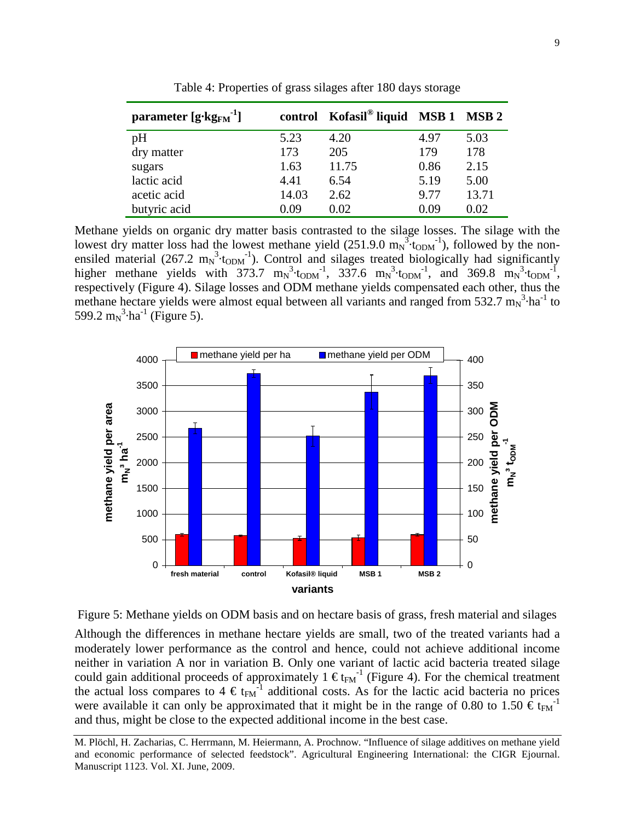| parameter $[g \cdot kg_{FM}^{-1}]$ |       | control Kofasil® liquid MSB 1 MSB 2 |      |       |
|------------------------------------|-------|-------------------------------------|------|-------|
| pH                                 | 5.23  | 4.20                                | 4.97 | 5.03  |
| dry matter                         | 173   | 205                                 | 179  | 178   |
| sugars                             | 1.63  | 11.75                               | 0.86 | 2.15  |
| lactic acid                        | 4.41  | 6.54                                | 5.19 | 5.00  |
| acetic acid                        | 14.03 | 2.62                                | 9.77 | 13.71 |
| butyric acid                       | 0.09  | 0.02                                | 0.09 | 0.02  |

Table 4: Properties of grass silages after 180 days storage

Methane yields on organic dry matter basis contrasted to the silage losses. The silage with the lowest dry matter loss had the lowest methane yield  $(251.9.0 \text{ m_N}^3 \cdot \text{topM}^1)$ , followed by the nonensiled material (267.2  $m_N^3$ ·t<sub>ODM</sub><sup>-1</sup>). Control and silages treated biologically had significantly higher methane yields with  $373.7 \text{ m}_N^3 \cdot \text{topm}^1$ ,  $337.6 \text{ m}_N^3 \cdot \text{topm}^1$ , and  $369.8 \text{ m}_N^3 \cdot \text{topm}^1$ , respectively (Figure 4). Silage losses and ODM methane yields compensated each other, thus the methane hectare yields were almost equal between all variants and ranged from 532.7  $m_N^3 \cdot ha^{-1}$  to 599.2 m<sub>N</sub><sup>3</sup>·ha<sup>-1</sup> (Figure 5).





Although the differences in methane hectare yields are small, two of the treated variants had a moderately lower performance as the control and hence, could not achieve additional income neither in variation A nor in variation B. Only one variant of lactic acid bacteria treated silage could gain additional proceeds of approximately 1  $\epsilon_{\text{FM}}^{-1}$  (Figure 4). For the chemical treatment the actual loss compares to  $4 \epsilon_{\text{FM}}^{-1}$  additional costs. As for the lactic acid bacteria no prices were available it can only be approximated that it might be in the range of 0.80 to 1.50  $\epsilon t_{FM}$ <sup>-1</sup> and thus, might be close to the expected additional income in the best case.

M. Plöchl, H. Zacharias, C. Herrmann, M. Heiermann, A. Prochnow. "Influence of silage additives on methane yield and economic performance of selected feedstock". Agricultural Engineering International: the CIGR Ejournal. Manuscript 1123. Vol. XI. June, 2009.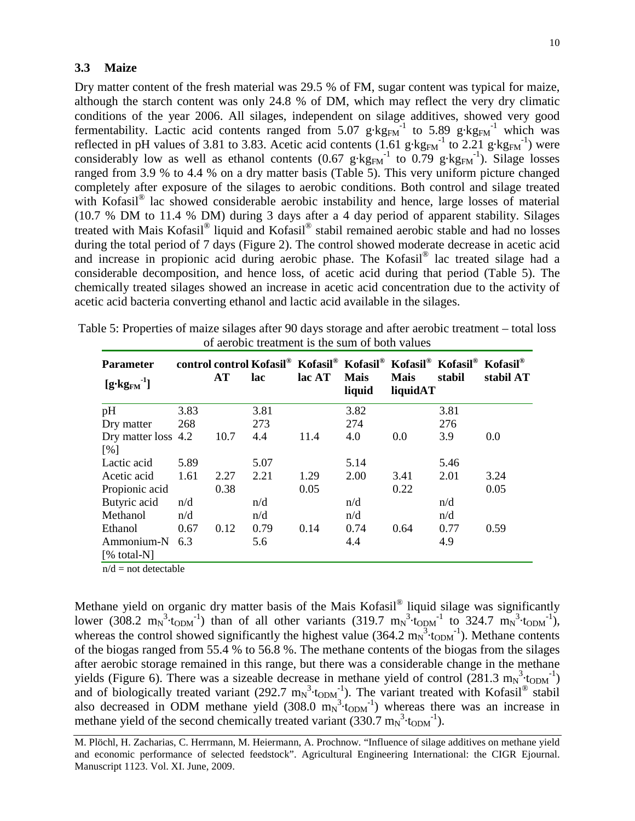#### **3.3 Maize**

Dry matter content of the fresh material was 29.5 % of FM, sugar content was typical for maize, although the starch content was only 24.8 % of DM, which may reflect the very dry climatic conditions of the year 2006. All silages, independent on silage additives, showed very good fermentability. Lactic acid contents ranged from  $5.07 \text{ g} \cdot \text{kg}_{FM}^{-1}$  to  $5.89 \text{ g} \cdot \text{kg}_{FM}^{-1}$  which was reflected in pH values of 3.81 to 3.83. Acetic acid contents  $(1.61 \text{ g} \cdot \text{kg}_{\text{FM}}^{-1}$  to 2.21 g $\text{ kg}_{\text{FM}}^{-1}$ ) were considerably low as well as ethanol contents (0.67  $g \cdot kg_{FM}^{-1}$  to 0.79  $g \cdot kg_{FM}^{-1}$ ). Silage losses ranged from 3.9 % to 4.4 % on a dry matter basis (Table 5). This very uniform picture changed completely after exposure of the silages to aerobic conditions. Both control and silage treated with Kofasil<sup>®</sup> lac showed considerable aerobic instability and hence, large losses of material (10.7 % DM to 11.4 % DM) during 3 days after a 4 day period of apparent stability. Silages treated with Mais Kofasil® liquid and Kofasil® stabil remained aerobic stable and had no losses during the total period of 7 days (Figure 2). The control showed moderate decrease in acetic acid and increase in propionic acid during aerobic phase. The Kofasil® lac treated silage had a considerable decomposition, and hence loss, of acetic acid during that period (Table 5). The chemically treated silages showed an increase in acetic acid concentration due to the activity of acetic acid bacteria converting ethanol and lactic acid available in the silages.

| <b>Parameter</b><br>$[g\cdot kg_{FM}^{-1}]$ |      | AT   | lac  | lac AT | <b>Mais</b><br>liquid | control control Kofasil <sup>®</sup> Kofasil <sup>®</sup> Kofasil <sup>®</sup> Kofasil <sup>®</sup> Kofasil <sup>®</sup> Kofasil <sup>®</sup><br><b>Mais</b><br>liquidAT | stabil | stabil AT |
|---------------------------------------------|------|------|------|--------|-----------------------|--------------------------------------------------------------------------------------------------------------------------------------------------------------------------|--------|-----------|
| pH                                          | 3.83 |      | 3.81 |        | 3.82                  |                                                                                                                                                                          | 3.81   |           |
| Dry matter                                  | 268  |      | 273  |        | 274                   |                                                                                                                                                                          | 276    |           |
| Dry matter loss 4.2                         |      | 10.7 | 4.4  | 11.4   | 4.0                   | 0.0                                                                                                                                                                      | 3.9    | 0.0       |
| [%]                                         |      |      |      |        |                       |                                                                                                                                                                          |        |           |
| Lactic acid                                 | 5.89 |      | 5.07 |        | 5.14                  |                                                                                                                                                                          | 5.46   |           |
| Acetic acid                                 | 1.61 | 2.27 | 2.21 | 1.29   | 2.00                  | 3.41                                                                                                                                                                     | 2.01   | 3.24      |
| Propionic acid                              |      | 0.38 |      | 0.05   |                       | 0.22                                                                                                                                                                     |        | 0.05      |
| Butyric acid                                | n/d  |      | n/d  |        | n/d                   |                                                                                                                                                                          | n/d    |           |
| Methanol                                    | n/d  |      | n/d  |        | n/d                   |                                                                                                                                                                          | n/d    |           |
| Ethanol                                     | 0.67 | 0.12 | 0.79 | 0.14   | 0.74                  | 0.64                                                                                                                                                                     | 0.77   | 0.59      |
| Ammonium-N<br>[% total- $N$ ]               | 6.3  |      | 5.6  |        | 4.4                   |                                                                                                                                                                          | 4.9    |           |

Table 5: Properties of maize silages after 90 days storage and after aerobic treatment – total loss of aerobic treatment is the sum of both values

 $n/d$  = not detectable

Methane yield on organic dry matter basis of the Mais Kofasil® liquid silage was significantly lower (308.2 m<sub>N</sub><sup>3</sup>·t<sub>ODM</sub><sup>-1</sup>) than of all other variants (319.7 m<sub>N</sub><sup>3</sup>·t<sub>ODM</sub><sup>-1</sup> to 324.7 m<sub>N</sub><sup>3</sup>·t<sub>ODM</sub><sup>-1</sup>), whereas the control showed significantly the highest value  $(364.2 \text{ m}_N^3 \cdot t_{ODM}^2)$ . Methane contents of the biogas ranged from 55.4 % to 56.8 %. The methane contents of the biogas from the silages after aerobic storage remained in this range, but there was a considerable change in the methane yields (Figure 6). There was a sizeable decrease in methane yield of control (281.3  $m_N^3$ ·topm<sup>-1</sup>) and of biologically treated variant (292.7  $m_N^3$ ·t<sub>ODM</sub><sup>-1</sup>). The variant treated with Kofasil<sup>®</sup> stabil also decreased in ODM methane yield  $(308.0 \text{ m}_N^3 \cdot t_{\text{ODM}}^2)$  whereas there was an increase in methane yield of the second chemically treated variant  $(330.7 \text{ m}_N^3 \cdot \text{topm}^1)$ .

M. Plöchl, H. Zacharias, C. Herrmann, M. Heiermann, A. Prochnow. "Influence of silage additives on methane yield and economic performance of selected feedstock". Agricultural Engineering International: the CIGR Ejournal. Manuscript 1123. Vol. XI. June, 2009.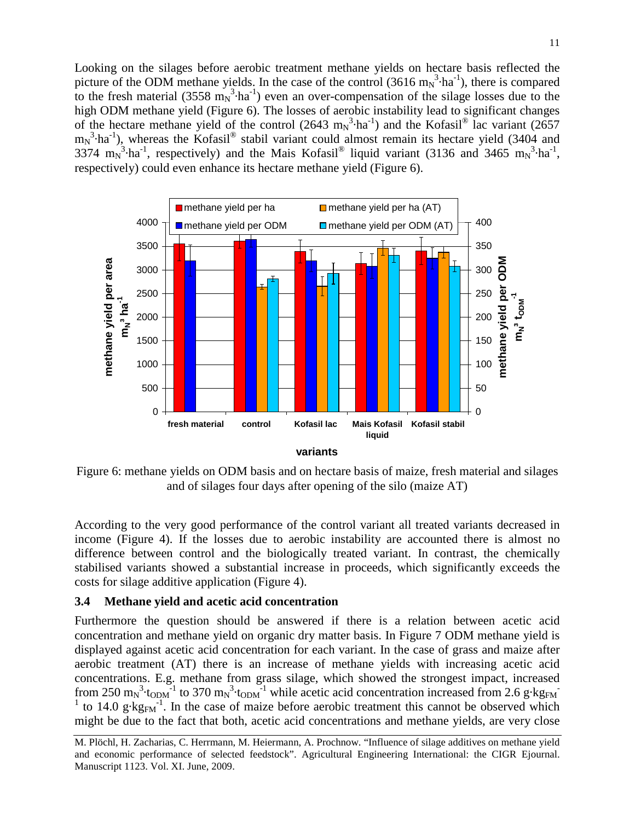Looking on the silages before aerobic treatment methane yields on hectare basis reflected the picture of the ODM methane yields. In the case of the control (3616  $m_N^3 \cdot ha^{-1}$ ), there is compared to the fresh material (3558  $m_N^3 \cdot ha^{-1}$ ) even an over-compensation of the silage losses due to the high ODM methane yield (Figure 6). The losses of aerobic instability lead to significant changes of the hectare methane yield of the control (2643  $m_N^3 \cdot ha^{-1}$ ) and the Kofasil<sup>®</sup> lac variant (2657  $m_N^3$ ·ha<sup>-1</sup>), whereas the Kofasil<sup>®</sup> stabil variant could almost remain its hectare yield (3404 and 3374 m<sub>N</sub><sup>3</sup>·ha<sup>-1</sup>, respectively) and the Mais Kofasil<sup>®</sup> liquid variant (3136 and 3465 m<sub>N</sub><sup>3</sup>·ha<sup>-1</sup>, respectively) could even enhance its hectare methane yield (Figure 6).



Figure 6: methane yields on ODM basis and on hectare basis of maize, fresh material and silages and of silages four days after opening of the silo (maize AT)

According to the very good performance of the control variant all treated variants decreased in income (Figure 4). If the losses due to aerobic instability are accounted there is almost no difference between control and the biologically treated variant. In contrast, the chemically stabilised variants showed a substantial increase in proceeds, which significantly exceeds the costs for silage additive application (Figure 4).

## **3.4 Methane yield and acetic acid concentration**

Furthermore the question should be answered if there is a relation between acetic acid concentration and methane yield on organic dry matter basis. In Figure 7 ODM methane yield is displayed against acetic acid concentration for each variant. In the case of grass and maize after aerobic treatment (AT) there is an increase of methane yields with increasing acetic acid concentrations. E.g. methane from grass silage, which showed the strongest impact, increased from 250 m<sub>N</sub><sup>3</sup>·t<sub>ODM</sub><sup>-1</sup> to 370 m<sub>N</sub><sup>3</sup>·t<sub>ODM</sub><sup>-1</sup> while acetic acid concentration increased from 2.6 g·kg<sub>FM</sub> <sup>1</sup> to 14.0 g·kg<sub>FM</sub><sup>-1</sup>. In the case of maize before aerobic treatment this cannot be observed which might be due to the fact that both, acetic acid concentrations and methane yields, are very close

M. Plöchl, H. Zacharias, C. Herrmann, M. Heiermann, A. Prochnow. "Influence of silage additives on methane yield and economic performance of selected feedstock". Agricultural Engineering International: the CIGR Ejournal. Manuscript 1123. Vol. XI. June, 2009.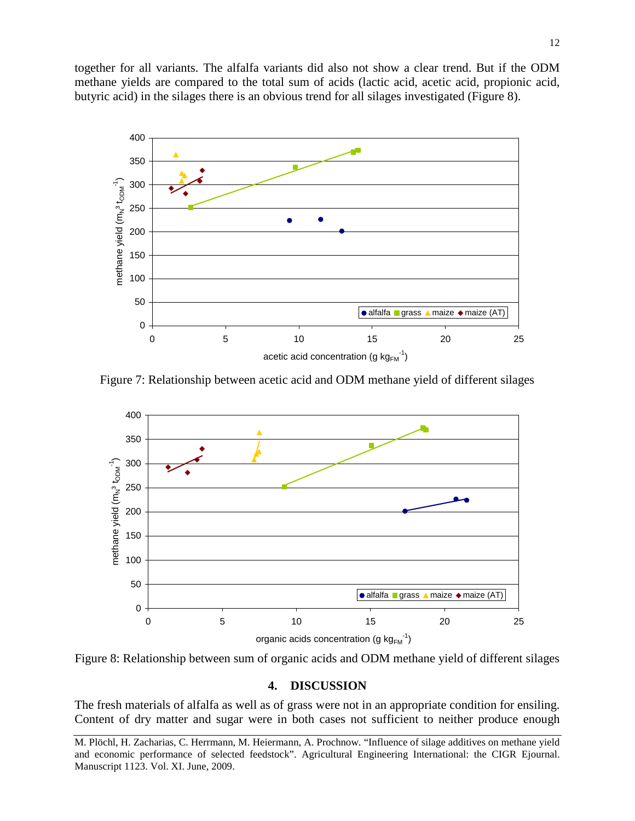together for all variants. The alfalfa variants did also not show a clear trend. But if the ODM methane yields are compared to the total sum of acids (lactic acid, acetic acid, propionic acid, butyric acid) in the silages there is an obvious trend for all silages investigated (Figure 8).



Figure 7: Relationship between acetic acid and ODM methane yield of different silages



Figure 8: Relationship between sum of organic acids and ODM methane yield of different silages

#### **4. DISCUSSION**

The fresh materials of alfalfa as well as of grass were not in an appropriate condition for ensiling. Content of dry matter and sugar were in both cases not sufficient to neither produce enough

M. Plöchl, H. Zacharias, C. Herrmann, M. Heiermann, A. Prochnow. "Influence of silage additives on methane yield and economic performance of selected feedstock". Agricultural Engineering International: the CIGR Ejournal. Manuscript 1123. Vol. XI. June, 2009.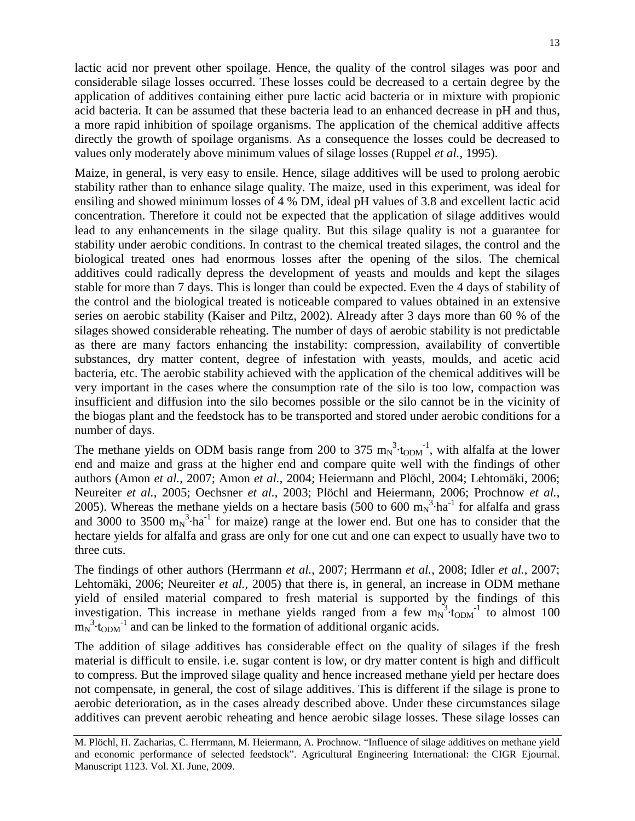lactic acid nor prevent other spoilage. Hence, the quality of the control silages was poor and considerable silage losses occurred. These losses could be decreased to a certain degree by the application of additives containing either pure lactic acid bacteria or in mixture with propionic acid bacteria. It can be assumed that these bacteria lead to an enhanced decrease in pH and thus, a more rapid inhibition of spoilage organisms. The application of the chemical additive affects directly the growth of spoilage organisms. As a consequence the losses could be decreased to values only moderately above minimum values of silage losses (Ruppel *et al.*, 1995).

Maize, in general, is very easy to ensile. Hence, silage additives will be used to prolong aerobic stability rather than to enhance silage quality. The maize, used in this experiment, was ideal for ensiling and showed minimum losses of 4 % DM, ideal pH values of 3.8 and excellent lactic acid concentration. Therefore it could not be expected that the application of silage additives would lead to any enhancements in the silage quality. But this silage quality is not a guarantee for stability under aerobic conditions. In contrast to the chemical treated silages, the control and the biological treated ones had enormous losses after the opening of the silos. The chemical additives could radically depress the development of yeasts and moulds and kept the silages stable for more than 7 days. This is longer than could be expected. Even the 4 days of stability of the control and the biological treated is noticeable compared to values obtained in an extensive series on aerobic stability (Kaiser and Piltz, 2002). Already after 3 days more than 60 % of the silages showed considerable reheating. The number of days of aerobic stability is not predictable as there are many factors enhancing the instability: compression, availability of convertible substances, dry matter content, degree of infestation with yeasts, moulds, and acetic acid bacteria, etc. The aerobic stability achieved with the application of the chemical additives will be very important in the cases where the consumption rate of the silo is too low, compaction was insufficient and diffusion into the silo becomes possible or the silo cannot be in the vicinity of the biogas plant and the feedstock has to be transported and stored under aerobic conditions for a number of days.

The methane yields on ODM basis range from 200 to 375  $m_N^3$ ·t<sub>ODM</sub><sup>-1</sup>, with alfalfa at the lower end and maize and grass at the higher end and compare quite well with the findings of other authors (Amon *et al.*, 2007; Amon *et al.*, 2004; Heiermann and Plöchl, 2004; Lehtomäki, 2006; Neureiter *et al.*, 2005; Oechsner *et al.*, 2003; Plöchl and Heiermann, 2006; Prochnow *et al.*, 2005). Whereas the methane yields on a hectare basis (500 to 600  $m_N^3 \cdot ha^{-1}$  for alfalfa and grass and 3000 to 3500  $m_N^3$ ·ha<sup>-1</sup> for maize) range at the lower end. But one has to consider that the hectare yields for alfalfa and grass are only for one cut and one can expect to usually have two to three cuts.

The findings of other authors (Herrmann *et al.*, 2007; Herrmann *et al.*, 2008; Idler *et al.*, 2007; Lehtomäki, 2006; Neureiter *et al.*, 2005) that there is, in general, an increase in ODM methane yield of ensiled material compared to fresh material is supported by the findings of this investigation. This increase in methane yields ranged from a few  $m_N^3$  to  $\mu$  to almost 100  $m_N^3$ ·t<sub>ODM</sub><sup>-1</sup> and can be linked to the formation of additional organic acids.

The addition of silage additives has considerable effect on the quality of silages if the fresh material is difficult to ensile. i.e. sugar content is low, or dry matter content is high and difficult to compress. But the improved silage quality and hence increased methane yield per hectare does not compensate, in general, the cost of silage additives. This is different if the silage is prone to aerobic deterioration, as in the cases already described above. Under these circumstances silage additives can prevent aerobic reheating and hence aerobic silage losses. These silage losses can

M. Plöchl, H. Zacharias, C. Herrmann, M. Heiermann, A. Prochnow. "Influence of silage additives on methane yield and economic performance of selected feedstock". Agricultural Engineering International: the CIGR Ejournal. Manuscript 1123. Vol. XI. June, 2009.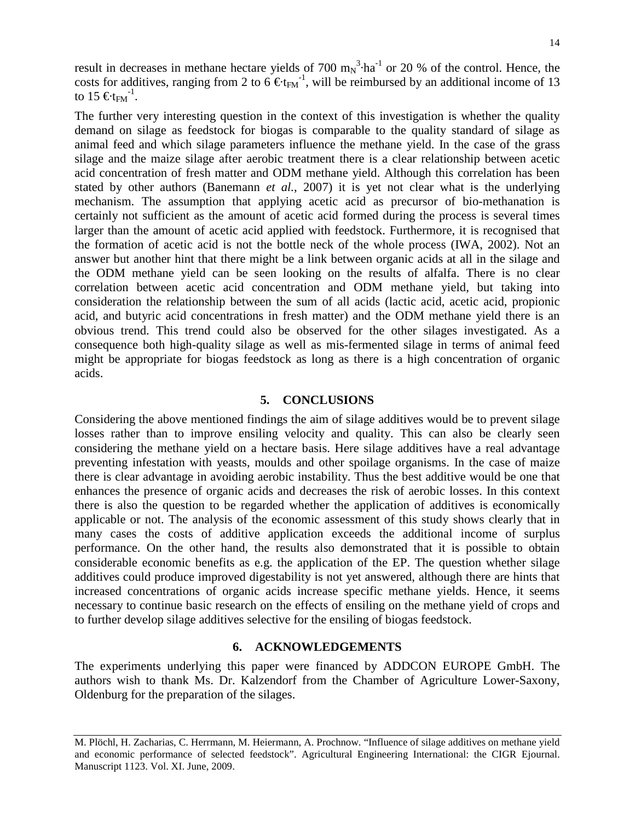result in decreases in methane hectare yields of 700  $m_N^3$  ha<sup>-1</sup> or 20 % of the control. Hence, the costs for additives, ranging from 2 to 6  $\epsilon_{t}$ <sub>FM</sub><sup>-1</sup>, will be reimbursed by an additional income of 13 to 15  $\epsilon_{F}$ <sup>-1</sup>.

The further very interesting question in the context of this investigation is whether the quality demand on silage as feedstock for biogas is comparable to the quality standard of silage as animal feed and which silage parameters influence the methane yield. In the case of the grass silage and the maize silage after aerobic treatment there is a clear relationship between acetic acid concentration of fresh matter and ODM methane yield. Although this correlation has been stated by other authors (Banemann *et al.*, 2007) it is yet not clear what is the underlying mechanism. The assumption that applying acetic acid as precursor of bio-methanation is certainly not sufficient as the amount of acetic acid formed during the process is several times larger than the amount of acetic acid applied with feedstock. Furthermore, it is recognised that the formation of acetic acid is not the bottle neck of the whole process (IWA, 2002). Not an answer but another hint that there might be a link between organic acids at all in the silage and the ODM methane yield can be seen looking on the results of alfalfa. There is no clear correlation between acetic acid concentration and ODM methane yield, but taking into consideration the relationship between the sum of all acids (lactic acid, acetic acid, propionic acid, and butyric acid concentrations in fresh matter) and the ODM methane yield there is an obvious trend. This trend could also be observed for the other silages investigated. As a consequence both high-quality silage as well as mis-fermented silage in terms of animal feed might be appropriate for biogas feedstock as long as there is a high concentration of organic acids.

#### **5. CONCLUSIONS**

Considering the above mentioned findings the aim of silage additives would be to prevent silage losses rather than to improve ensiling velocity and quality. This can also be clearly seen considering the methane yield on a hectare basis. Here silage additives have a real advantage preventing infestation with yeasts, moulds and other spoilage organisms. In the case of maize there is clear advantage in avoiding aerobic instability. Thus the best additive would be one that enhances the presence of organic acids and decreases the risk of aerobic losses. In this context there is also the question to be regarded whether the application of additives is economically applicable or not. The analysis of the economic assessment of this study shows clearly that in many cases the costs of additive application exceeds the additional income of surplus performance. On the other hand, the results also demonstrated that it is possible to obtain considerable economic benefits as e.g. the application of the EP. The question whether silage additives could produce improved digestability is not yet answered, although there are hints that increased concentrations of organic acids increase specific methane yields. Hence, it seems necessary to continue basic research on the effects of ensiling on the methane yield of crops and to further develop silage additives selective for the ensiling of biogas feedstock.

#### **6. ACKNOWLEDGEMENTS**

The experiments underlying this paper were financed by ADDCON EUROPE GmbH. The authors wish to thank Ms. Dr. Kalzendorf from the Chamber of Agriculture Lower-Saxony, Oldenburg for the preparation of the silages.

M. Plöchl, H. Zacharias, C. Herrmann, M. Heiermann, A. Prochnow. "Influence of silage additives on methane yield and economic performance of selected feedstock". Agricultural Engineering International: the CIGR Ejournal. Manuscript 1123. Vol. XI. June, 2009.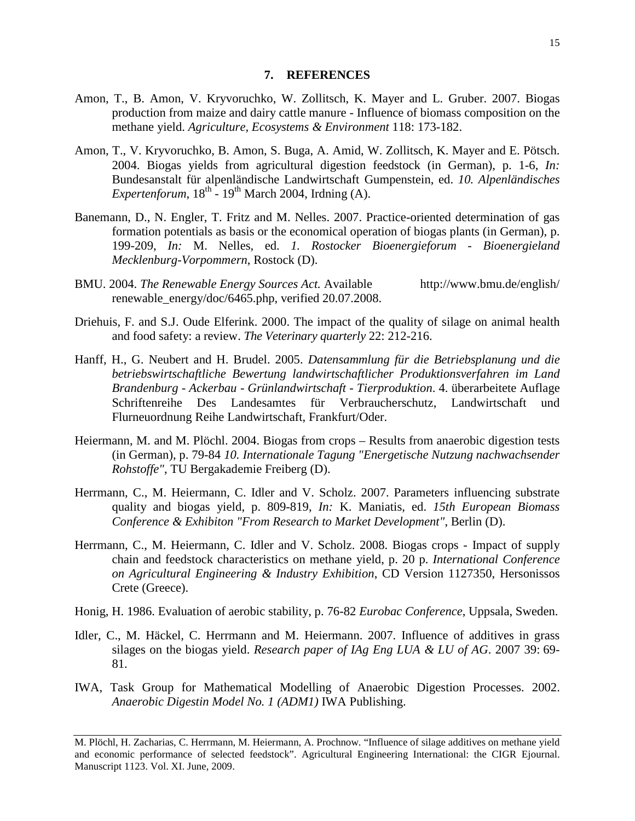#### **7. REFERENCES**

- Amon, T., B. Amon, V. Kryvoruchko, W. Zollitsch, K. Mayer and L. Gruber. 2007. Biogas production from maize and dairy cattle manure - Influence of biomass composition on the methane yield. *Agriculture, Ecosystems & Environment* 118: 173-182.
- Amon, T., V. Kryvoruchko, B. Amon, S. Buga, A. Amid, W. Zollitsch, K. Mayer and E. Pötsch. 2004. Biogas yields from agricultural digestion feedstock (in German), p. 1-6, *In:* Bundesanstalt für alpenländische Landwirtschaft Gumpenstein, ed. *10. Alpenländisches Expertenforum*,  $18^{th}$  -  $19^{th}$  March 2004, Irdning (A).
- Banemann, D., N. Engler, T. Fritz and M. Nelles. 2007. Practice-oriented determination of gas formation potentials as basis or the economical operation of biogas plants (in German), p. 199-209, *In:* M. Nelles, ed. *1. Rostocker Bioenergieforum - Bioenergieland Mecklenburg-Vorpommern*, Rostock (D).
- BMU. 2004. *The Renewable Energy Sources Act.* Available http://www.bmu.de/english/ renewable\_energy/doc/6465.php, verified 20.07.2008.
- Driehuis, F. and S.J. Oude Elferink. 2000. The impact of the quality of silage on animal health and food safety: a review. *The Veterinary quarterly* 22: 212-216.
- Hanff, H., G. Neubert and H. Brudel. 2005. *Datensammlung für die Betriebsplanung und die betriebswirtschaftliche Bewertung landwirtschaftlicher Produktionsverfahren im Land Brandenburg - Ackerbau - Grünlandwirtschaft - Tierproduktion*. 4. überarbeitete Auflage Schriftenreihe Des Landesamtes für Verbraucherschutz, Landwirtschaft und Flurneuordnung Reihe Landwirtschaft, Frankfurt/Oder.
- Heiermann, M. and M. Plöchl. 2004. Biogas from crops Results from anaerobic digestion tests (in German), p. 79-84 *10. Internationale Tagung "Energetische Nutzung nachwachsender Rohstoffe"*, TU Bergakademie Freiberg (D).
- Herrmann, C., M. Heiermann, C. Idler and V. Scholz. 2007. Parameters influencing substrate quality and biogas yield, p. 809-819, *In:* K. Maniatis, ed. *15th European Biomass Conference & Exhibiton "From Research to Market Development"*, Berlin (D).
- Herrmann, C., M. Heiermann, C. Idler and V. Scholz. 2008. Biogas crops Impact of supply chain and feedstock characteristics on methane yield, p. 20 p. *International Conference on Agricultural Engineering & Industry Exhibition*, CD Version 1127350, Hersonissos Crete (Greece).
- Honig, H. 1986. Evaluation of aerobic stability, p. 76-82 *Eurobac Conference*, Uppsala, Sweden.
- Idler, C., M. Häckel, C. Herrmann and M. Heiermann. 2007. Influence of additives in grass silages on the biogas yield. *Research paper of IAg Eng LUA & LU of AG*. 2007 39: 69- 81.
- IWA, Task Group for Mathematical Modelling of Anaerobic Digestion Processes. 2002. *Anaerobic Digestin Model No. 1 (ADM1)* IWA Publishing.

M. Plöchl, H. Zacharias, C. Herrmann, M. Heiermann, A. Prochnow. "Influence of silage additives on methane yield and economic performance of selected feedstock". Agricultural Engineering International: the CIGR Ejournal. Manuscript 1123. Vol. XI. June, 2009.